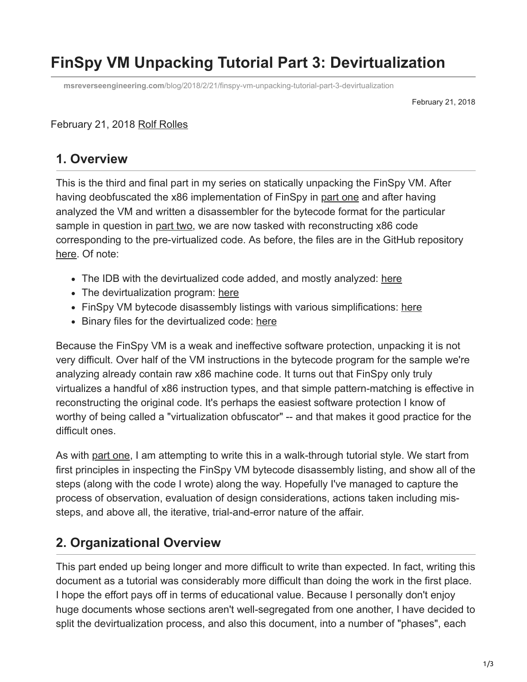## **FinSpy VM Unpacking Tutorial Part 3: Devirtualization**

**msreverseengineering.com**[/blog/2018/2/21/finspy-vm-unpacking-tutorial-part-3-devirtualization](https://www.msreverseengineering.com/blog/2018/2/21/finspy-vm-unpacking-tutorial-part-3-devirtualization)

February 21, 2018

## February 21, 2018 [Rolf Rolles](http://10.10.0.46/blog?author=5111cf9ee4b0a36262da10df)

## **1. Overview**

This is the third and final part in my series on statically unpacking the FinSpy VM. After having deobfuscated the x86 implementation of FinSpy in [part one](http://www.msreverseengineering.com/blog/2018/1/23/a-walk-through-tutorial-with-code-on-statically-unpacking-the-finspy-vm-part-one-x86-deobfuscation) and after having analyzed the VM and written a disassembler for the bytecode format for the particular sample in question in [part two,](http://www.msreverseengineering.com/blog/2018/1/31/finspy-vm-part-2-vm-analysis-and-bytecode-disassembly) we are now tasked with reconstructing x86 code corresponding to the pre-virtualized code. As before, the files are in the GitHub repository [here](https://github.com/RolfRolles/FinSpyVM/). Of note:

- The IDB with the devirtualized code added, and mostly analyzed: [here](https://github.com/RolfRolles/FinSpyVM/blob/master/VMDevirtualization/BlackOasis-WithDevirtualization.idb)
- The devirtualization program: [here](https://github.com/RolfRolles/FinSpyVM/tree/master/VMDisassembler/Tmp)
- FinSpy VM bytecode disassembly listings with various simplifications: [here](https://github.com/RolfRolles/FinSpyVM/tree/master/VMProgram)
- Binary files for the devirtualized code: [here](https://github.com/RolfRolles/FinSpyVM/tree/master/VMDevirtualization)

Because the FinSpy VM is a weak and ineffective software protection, unpacking it is not very difficult. Over half of the VM instructions in the bytecode program for the sample we're analyzing already contain raw x86 machine code. It turns out that FinSpy only truly virtualizes a handful of x86 instruction types, and that simple pattern-matching is effective in reconstructing the original code. It's perhaps the easiest software protection I know of worthy of being called a "virtualization obfuscator" -- and that makes it good practice for the difficult ones.

As with [part one](http://www.msreverseengineering.com/blog/2018/1/23/a-walk-through-tutorial-with-code-on-statically-unpacking-the-finspy-vm-part-one-x86-deobfuscation), I am attempting to write this in a walk-through tutorial style. We start from first principles in inspecting the FinSpy VM bytecode disassembly listing, and show all of the steps (along with the code I wrote) along the way. Hopefully I've managed to capture the process of observation, evaluation of design considerations, actions taken including missteps, and above all, the iterative, trial-and-error nature of the affair.

## **2. Organizational Overview**

This part ended up being longer and more difficult to write than expected. In fact, writing this document as a tutorial was considerably more difficult than doing the work in the first place. I hope the effort pays off in terms of educational value. Because I personally don't enjoy huge documents whose sections aren't well-segregated from one another, I have decided to split the devirtualization process, and also this document, into a number of "phases", each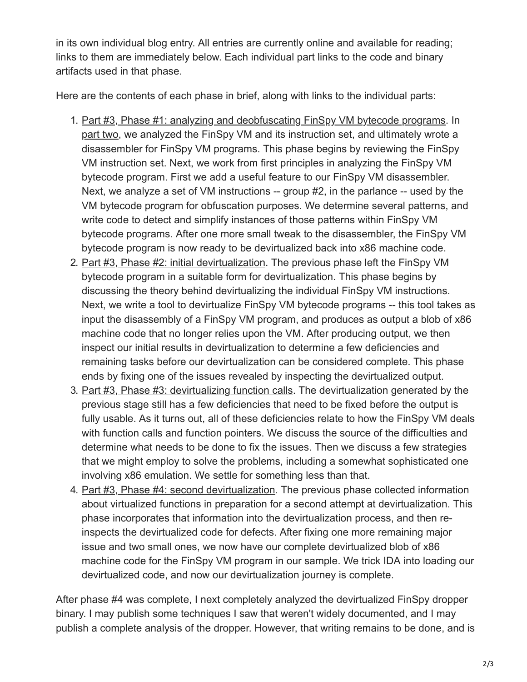in its own individual blog entry. All entries are currently online and available for reading; links to them are immediately below. Each individual part links to the code and binary artifacts used in that phase.

Here are the contents of each phase in brief, along with links to the individual parts:

- 1. [Part #3, Phase #1: analyzing and deobfuscating FinSpy VM bytecode programs.](http://www.msreverseengineering.com/blog/2018/2/21/wsbjxrs1jjw7qi4trk9t3qy6hr7dye) In [part two,](http://www.msreverseengineering.com/blog/2018/1/31/finspy-vm-part-2-vm-analysis-and-bytecode-disassembly) we analyzed the FinSpy VM and its instruction set, and ultimately wrote a disassembler for FinSpy VM programs. This phase begins by reviewing the FinSpy VM instruction set. Next, we work from first principles in analyzing the FinSpy VM bytecode program. First we add a useful feature to our FinSpy VM disassembler. Next, we analyze a set of VM instructions -- group #2, in the parlance -- used by the VM bytecode program for obfuscation purposes. We determine several patterns, and write code to detect and simplify instances of those patterns within FinSpy VM bytecode programs. After one more small tweak to the disassembler, the FinSpy VM bytecode program is now ready to be devirtualized back into x86 machine code.
- 2. [Part #3, Phase #2: initial devirtualization](http://www.msreverseengineering.com/blog/2018/2/21/devirtualizing-finspy-phase-2-first-attempt-at-devirtualization). The previous phase left the FinSpy VM bytecode program in a suitable form for devirtualization. This phase begins by discussing the theory behind devirtualizing the individual FinSpy VM instructions. Next, we write a tool to devirtualize FinSpy VM bytecode programs -- this tool takes as input the disassembly of a FinSpy VM program, and produces as output a blob of x86 machine code that no longer relies upon the VM. After producing output, we then inspect our initial results in devirtualization to determine a few deficiencies and remaining tasks before our devirtualization can be considered complete. This phase ends by fixing one of the issues revealed by inspecting the devirtualized output.
- 3. [Part #3, Phase #3: devirtualizing function calls](http://www.msreverseengineering.com/blog/2018/2/21/devirtualizing-finspy-phase-3-fixing-the-function-related-issues). The devirtualization generated by the previous stage still has a few deficiencies that need to be fixed before the output is fully usable. As it turns out, all of these deficiencies relate to how the FinSpy VM deals with function calls and function pointers. We discuss the source of the difficulties and determine what needs to be done to fix the issues. Then we discuss a few strategies that we might employ to solve the problems, including a somewhat sophisticated one involving x86 emulation. We settle for something less than that.
- 4. [Part #3, Phase #4: second devirtualization.](http://www.msreverseengineering.com/blog/2018/2/21/devirtualizing-finspy-phase-4-second-attempt-at-devirtualization) The previous phase collected information about virtualized functions in preparation for a second attempt at devirtualization. This phase incorporates that information into the devirtualization process, and then reinspects the devirtualized code for defects. After fixing one more remaining major issue and two small ones, we now have our complete devirtualized blob of x86 machine code for the FinSpy VM program in our sample. We trick IDA into loading our devirtualized code, and now our devirtualization journey is complete.

After phase #4 was complete, I next completely analyzed the devirtualized FinSpy dropper binary. I may publish some techniques I saw that weren't widely documented, and I may publish a complete analysis of the dropper. However, that writing remains to be done, and is